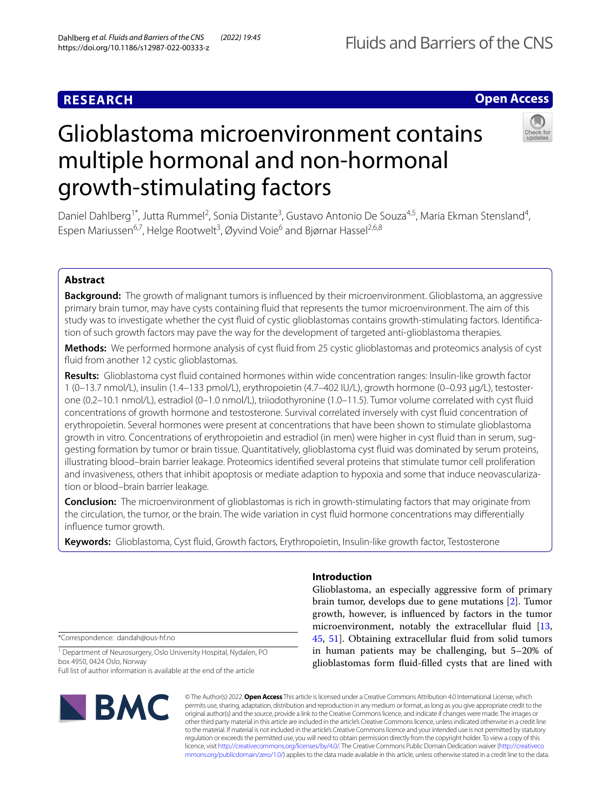growth-stimulating factors

# **RESEARCH**

# **Open Access**

# Glioblastoma microenvironment contains



Daniel Dahlberg<sup>1\*</sup>, Jutta Rummel<sup>2</sup>, Sonia Distante<sup>3</sup>, Gustavo Antonio De Souza<sup>4,5</sup>, Maria Ekman Stensland<sup>4</sup>, Espen Mariussen<sup>6,7</sup>, Helge Rootwelt<sup>3</sup>, Øyvind Voie<sup>6</sup> and Bjørnar Hassel<sup>2,6,8</sup>

multiple hormonal and non-hormonal

## **Abstract**

**Background:** The growth of malignant tumors is infuenced by their microenvironment. Glioblastoma, an aggressive primary brain tumor, may have cysts containing fuid that represents the tumor microenvironment. The aim of this study was to investigate whether the cyst fuid of cystic glioblastomas contains growth-stimulating factors. Identifcation of such growth factors may pave the way for the development of targeted anti-glioblastoma therapies.

**Methods:** We performed hormone analysis of cyst fuid from 25 cystic glioblastomas and proteomics analysis of cyst fuid from another 12 cystic glioblastomas.

**Results:** Glioblastoma cyst fuid contained hormones within wide concentration ranges: Insulin-like growth factor 1 (0–13.7 nmol/L), insulin (1.4–133 pmol/L), erythropoietin (4.7–402 IU/L), growth hormone (0–0.93 µg/L), testosterone (0.2–10.1 nmol/L), estradiol (0–1.0 nmol/L), triiodothyronine (1.0–11.5). Tumor volume correlated with cyst fuid concentrations of growth hormone and testosterone. Survival correlated inversely with cyst fuid concentration of erythropoietin. Several hormones were present at concentrations that have been shown to stimulate glioblastoma growth in vitro. Concentrations of erythropoietin and estradiol (in men) were higher in cyst fuid than in serum, suggesting formation by tumor or brain tissue. Quantitatively, glioblastoma cyst fuid was dominated by serum proteins, illustrating blood–brain barrier leakage. Proteomics identifed several proteins that stimulate tumor cell proliferation and invasiveness, others that inhibit apoptosis or mediate adaption to hypoxia and some that induce neovascularization or blood–brain barrier leakage.

**Conclusion:** The microenvironment of glioblastomas is rich in growth-stimulating factors that may originate from the circulation, the tumor, or the brain. The wide variation in cyst fuid hormone concentrations may diferentially infuence tumor growth.

**Keywords:** Glioblastoma, Cyst fuid, Growth factors, Erythropoietin, Insulin-like growth factor, Testosterone

\*Correspondence: dandah@ous-hf.no

<sup>1</sup> Department of Neurosurgery, Oslo University Hospital, Nydalen, PO box 4950, 0424 Oslo, Norway Full list of author information is available at the end of the article



## **Introduction**

Glioblastoma, an especially aggressive form of primary brain tumor, develops due to gene mutations [\[2](#page-8-0)]. Tumor growth, however, is infuenced by factors in the tumor microenvironment, notably the extracellular fluid [[13](#page-8-1), [45,](#page-9-0) [51](#page-10-0)]. Obtaining extracellular fuid from solid tumors in human patients may be challenging, but 5–20% of glioblastomas form fuid-flled cysts that are lined with

© The Author(s) 2022. **Open Access** This article is licensed under a Creative Commons Attribution 4.0 International License, which permits use, sharing, adaptation, distribution and reproduction in any medium or format, as long as you give appropriate credit to the original author(s) and the source, provide a link to the Creative Commons licence, and indicate if changes were made. The images or other third party material in this article are included in the article's Creative Commons licence, unless indicated otherwise in a credit line to the material. If material is not included in the article's Creative Commons licence and your intended use is not permitted by statutory regulation or exceeds the permitted use, you will need to obtain permission directly from the copyright holder. To view a copy of this licence, visit [http://creativecommons.org/licenses/by/4.0/.](http://creativecommons.org/licenses/by/4.0/) The Creative Commons Public Domain Dedication waiver ([http://creativeco](http://creativecommons.org/publicdomain/zero/1.0/) [mmons.org/publicdomain/zero/1.0/](http://creativecommons.org/publicdomain/zero/1.0/)) applies to the data made available in this article, unless otherwise stated in a credit line to the data.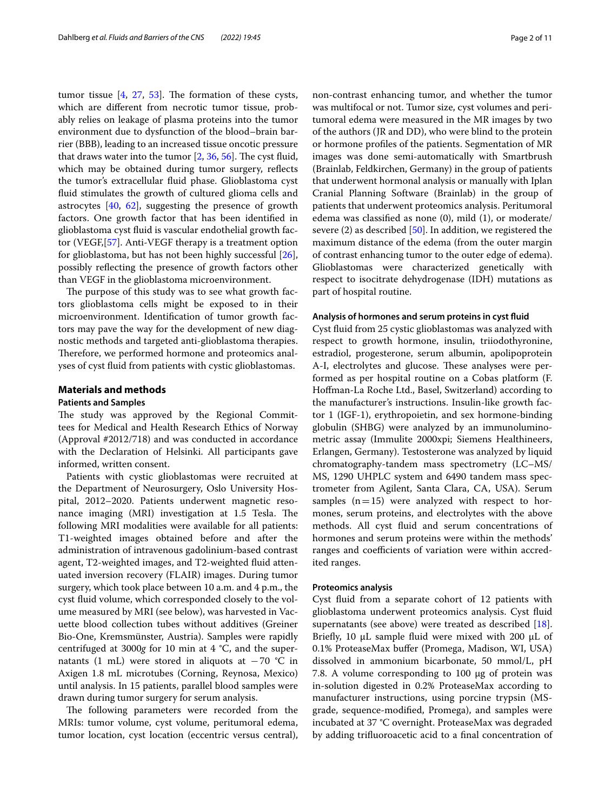tumor tissue  $[4, 27, 53]$  $[4, 27, 53]$  $[4, 27, 53]$  $[4, 27, 53]$  $[4, 27, 53]$  $[4, 27, 53]$ . The formation of these cysts, which are diferent from necrotic tumor tissue, probably relies on leakage of plasma proteins into the tumor environment due to dysfunction of the blood–brain barrier (BBB), leading to an increased tissue oncotic pressure that draws water into the tumor  $[2, 36, 56]$  $[2, 36, 56]$  $[2, 36, 56]$  $[2, 36, 56]$  $[2, 36, 56]$ . The cyst fluid, which may be obtained during tumor surgery, reflects the tumor's extracellular fuid phase. Glioblastoma cyst fuid stimulates the growth of cultured glioma cells and astrocytes [[40,](#page-9-3) [62\]](#page-10-3), suggesting the presence of growth factors. One growth factor that has been identifed in glioblastoma cyst fuid is vascular endothelial growth factor (VEGF,[\[57](#page-10-4)]. Anti-VEGF therapy is a treatment option for glioblastoma, but has not been highly successful [\[26](#page-9-4)], possibly reflecting the presence of growth factors other than VEGF in the glioblastoma microenvironment.

The purpose of this study was to see what growth factors glioblastoma cells might be exposed to in their microenvironment. Identifcation of tumor growth factors may pave the way for the development of new diagnostic methods and targeted anti-glioblastoma therapies. Therefore, we performed hormone and proteomics analyses of cyst fuid from patients with cystic glioblastomas.

## **Materials and methods**

## **Patients and Samples**

The study was approved by the Regional Committees for Medical and Health Research Ethics of Norway (Approval #2012/718) and was conducted in accordance with the Declaration of Helsinki. All participants gave informed, written consent.

Patients with cystic glioblastomas were recruited at the Department of Neurosurgery, Oslo University Hospital, 2012–2020. Patients underwent magnetic resonance imaging  $(MRI)$  investigation at 1.5 Tesla. The following MRI modalities were available for all patients: T1-weighted images obtained before and after the administration of intravenous gadolinium-based contrast agent, T2-weighted images, and T2-weighted fuid attenuated inversion recovery (FLAIR) images. During tumor surgery, which took place between 10 a.m. and 4 p.m., the cyst fuid volume, which corresponded closely to the volume measured by MRI (see below), was harvested in Vacuette blood collection tubes without additives (Greiner Bio-One, Kremsmünster, Austria). Samples were rapidly centrifuged at 3000*g* for 10 min at 4 °C, and the supernatants (1 mL) were stored in aliquots at  $-70$  °C in Axigen 1.8 mL microtubes (Corning, Reynosa, Mexico) until analysis. In 15 patients, parallel blood samples were drawn during tumor surgery for serum analysis.

The following parameters were recorded from the MRIs: tumor volume, cyst volume, peritumoral edema, tumor location, cyst location (eccentric versus central), non-contrast enhancing tumor, and whether the tumor was multifocal or not. Tumor size, cyst volumes and peritumoral edema were measured in the MR images by two of the authors (JR and DD), who were blind to the protein or hormone profles of the patients. Segmentation of MR images was done semi-automatically with Smartbrush (Brainlab, Feldkirchen, Germany) in the group of patients that underwent hormonal analysis or manually with Iplan Cranial Planning Software (Brainlab) in the group of patients that underwent proteomics analysis. Peritumoral edema was classifed as none (0), mild (1), or moderate/ severe (2) as described [[50\]](#page-10-5). In addition, we registered the maximum distance of the edema (from the outer margin of contrast enhancing tumor to the outer edge of edema). Glioblastomas were characterized genetically with respect to isocitrate dehydrogenase (IDH) mutations as part of hospital routine.

## **Analysis of hormones and serum proteins in cyst fuid**

Cyst fuid from 25 cystic glioblastomas was analyzed with respect to growth hormone, insulin, triiodothyronine, estradiol, progesterone, serum albumin, apolipoprotein A-I, electrolytes and glucose. These analyses were performed as per hospital routine on a Cobas platform (F. Hofman-La Roche Ltd., Basel, Switzerland) according to the manufacturer's instructions. Insulin-like growth factor 1 (IGF-1), erythropoietin, and sex hormone-binding globulin (SHBG) were analyzed by an immunoluminometric assay (Immulite 2000xpi; Siemens Healthineers, Erlangen, Germany). Testosterone was analyzed by liquid chromatography-tandem mass spectrometry (LC–MS/ MS, 1290 UHPLC system and 6490 tandem mass spectrometer from Agilent, Santa Clara, CA, USA). Serum samples  $(n=15)$  were analyzed with respect to hormones, serum proteins, and electrolytes with the above methods. All cyst fuid and serum concentrations of hormones and serum proteins were within the methods' ranges and coefficients of variation were within accredited ranges.

## **Proteomics analysis**

Cyst fuid from a separate cohort of 12 patients with glioblastoma underwent proteomics analysis. Cyst fuid supernatants (see above) were treated as described [\[18](#page-9-5)]. Briefly, 10 μL sample fluid were mixed with 200 μL of 0.1% ProteaseMax bufer (Promega, Madison, WI, USA) dissolved in ammonium bicarbonate, 50 mmol/L, pH 7.8. A volume corresponding to 100 μg of protein was in-solution digested in 0.2% ProteaseMax according to manufacturer instructions, using porcine trypsin (MSgrade, sequence-modifed, Promega), and samples were incubated at 37 °C overnight. ProteaseMax was degraded by adding trifuoroacetic acid to a fnal concentration of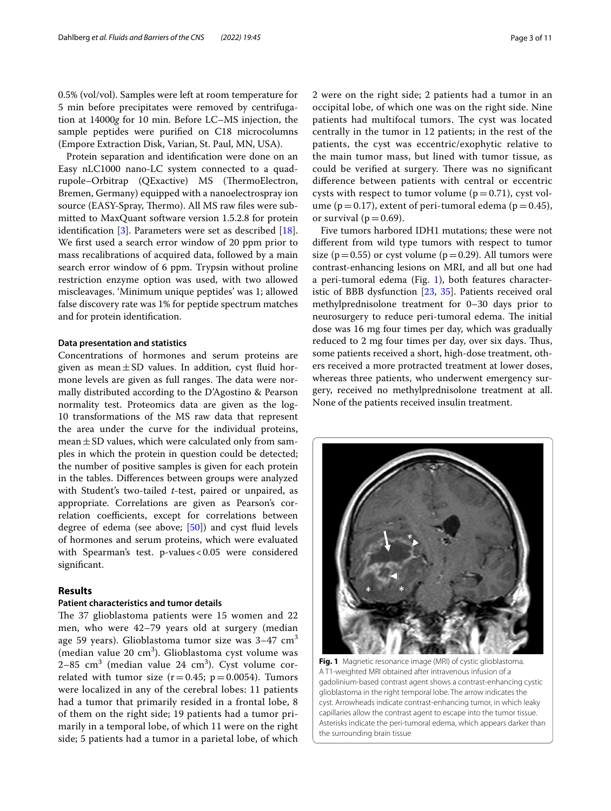0.5% (vol/vol). Samples were left at room temperature for 5 min before precipitates were removed by centrifugation at 14000*g* for 10 min. Before LC–MS injection, the sample peptides were purifed on C18 microcolumns (Empore Extraction Disk, Varian, St. Paul, MN, USA).

Protein separation and identifcation were done on an Easy nLC1000 nano-LC system connected to a quadrupole–Orbitrap (QExactive) MS (ThermoElectron, Bremen, Germany) equipped with a nanoelectrospray ion source (EASY-Spray, Thermo). All MS raw files were submitted to MaxQuant software version 1.5.2.8 for protein identifcation [\[3](#page-8-3)]. Parameters were set as described [\[18](#page-9-5)]. We frst used a search error window of 20 ppm prior to mass recalibrations of acquired data, followed by a main search error window of 6 ppm. Trypsin without proline restriction enzyme option was used, with two allowed miscleavages. 'Minimum unique peptides' was 1; allowed false discovery rate was 1% for peptide spectrum matches and for protein identifcation.

#### **Data presentation and statistics**

Concentrations of hormones and serum proteins are given as mean $\pm$ SD values. In addition, cyst fluid hormone levels are given as full ranges. The data were normally distributed according to the D'Agostino & Pearson normality test. Proteomics data are given as the log-10 transformations of the MS raw data that represent the area under the curve for the individual proteins,  $mean \pm SD$  values, which were calculated only from samples in which the protein in question could be detected; the number of positive samples is given for each protein in the tables. Diferences between groups were analyzed with Student's two-tailed *t*-test, paired or unpaired, as appropriate. Correlations are given as Pearson's correlation coefficients, except for correlations between degree of edema (see above; [\[50\]](#page-10-5)) and cyst fuid levels of hormones and serum proteins, which were evaluated with Spearman's test. p-values < 0.05 were considered signifcant.

## **Results**

## **Patient characteristics and tumor details**

The 37 glioblastoma patients were 15 women and 22 men, who were 42–79 years old at surgery (median age 59 years). Glioblastoma tumor size was  $3-47$  cm<sup>3</sup> (median value 20 cm<sup>3</sup>). Glioblastoma cyst volume was 2–85 cm $^3$  (median value 24 cm $^3$ ). Cyst volume correlated with tumor size  $(r=0.45; p=0.0054)$ . Tumors were localized in any of the cerebral lobes: 11 patients had a tumor that primarily resided in a frontal lobe, 8 of them on the right side; 19 patients had a tumor primarily in a temporal lobe, of which 11 were on the right side; 5 patients had a tumor in a parietal lobe, of which

2 were on the right side; 2 patients had a tumor in an occipital lobe, of which one was on the right side. Nine patients had multifocal tumors. The cyst was located centrally in the tumor in 12 patients; in the rest of the patients, the cyst was eccentric/exophytic relative to the main tumor mass, but lined with tumor tissue, as could be verified at surgery. There was no significant diference between patients with central or eccentric cysts with respect to tumor volume  $(p=0.71)$ , cyst volume ( $p=0.17$ ), extent of peri-tumoral edema ( $p=0.45$ ), or survival ( $p=0.69$ ).

Five tumors harbored IDH1 mutations; these were not diferent from wild type tumors with respect to tumor size ( $p=0.55$ ) or cyst volume ( $p=0.29$ ). All tumors were contrast-enhancing lesions on MRI, and all but one had a peri-tumoral edema (Fig. [1](#page-2-0)), both features characteristic of BBB dysfunction [[23,](#page-9-6) [35](#page-9-7)]. Patients received oral methylprednisolone treatment for 0–30 days prior to neurosurgery to reduce peri-tumoral edema. The initial dose was 16 mg four times per day, which was gradually reduced to 2 mg four times per day, over six days. Thus, some patients received a short, high-dose treatment, others received a more protracted treatment at lower doses, whereas three patients, who underwent emergency surgery, received no methylprednisolone treatment at all. None of the patients received insulin treatment.

<span id="page-2-0"></span>

**Fig. 1** Magnetic resonance image (MRI) of cystic glioblastoma. A T1-weighted MRI obtained after intravenous infusion of a gadolinium-based contrast agent shows a contrast-enhancing cystic glioblastoma in the right temporal lobe. The arrow indicates the cyst. Arrowheads indicate contrast-enhancing tumor, in which leaky capillaries allow the contrast agent to escape into the tumor tissue. Asterisks indicate the peri-tumoral edema, which appears darker than the surrounding brain tissue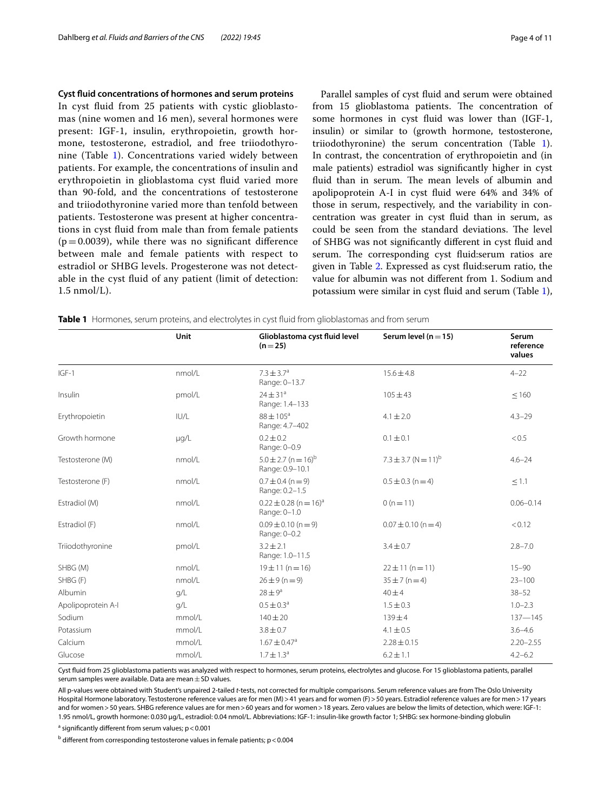#### **Cyst fuid concentrations of hormones and serum proteins**

In cyst fuid from 25 patients with cystic glioblastomas (nine women and 16 men), several hormones were present: IGF-1, insulin, erythropoietin, growth hormone, testosterone, estradiol, and free triiodothyronine (Table [1\)](#page-3-0). Concentrations varied widely between patients. For example, the concentrations of insulin and erythropoietin in glioblastoma cyst fuid varied more than 90-fold, and the concentrations of testosterone and triiodothyronine varied more than tenfold between patients. Testosterone was present at higher concentrations in cyst fuid from male than from female patients  $(p=0.0039)$ , while there was no significant difference between male and female patients with respect to estradiol or SHBG levels. Progesterone was not detectable in the cyst fuid of any patient (limit of detection: 1.5 nmol/L).

Parallel samples of cyst fuid and serum were obtained from 15 glioblastoma patients. The concentration of some hormones in cyst fluid was lower than (IGF-1, insulin) or similar to (growth hormone, testosterone, triiodothyronine) the serum concentration (Table [1](#page-3-0)). In contrast, the concentration of erythropoietin and (in male patients) estradiol was signifcantly higher in cyst fluid than in serum. The mean levels of albumin and apolipoprotein A-I in cyst fuid were 64% and 34% of those in serum, respectively, and the variability in concentration was greater in cyst fuid than in serum, as could be seen from the standard deviations. The level of SHBG was not signifcantly diferent in cyst fuid and serum. The corresponding cyst fluid: serum ratios are given in Table [2.](#page-4-0) Expressed as cyst fuid:serum ratio, the value for albumin was not diferent from 1. Sodium and potassium were similar in cyst fuid and serum (Table [1](#page-3-0)),

<span id="page-3-0"></span>

|                    | Unit   | Glioblastoma cyst fluid level<br>$(n=25)$              | Serum level ( $n = 15$ )            | Serum<br>reference<br>values |
|--------------------|--------|--------------------------------------------------------|-------------------------------------|------------------------------|
| $IGF-1$            | nmol/L | $7.3 \pm 3.7^{\circ}$<br>Range: 0-13.7                 | $15.6 \pm 4.8$                      | $4 - 22$                     |
| Insulin            | pmol/L | $24 \pm 31^a$<br>Range: 1.4-133                        | $105 \pm 43$                        | $\leq 160$                   |
| Erythropoietin     | IUVL   | $88 \pm 105^{\circ}$<br>Range: 4.7-402                 | $4.1 \pm 2.0$                       | $4.3 - 29$                   |
| Growth hormone     | µg/L   | $0.2 \pm 0.2$<br>Range: 0-0.9                          | $0.1 \pm 0.1$                       | < 0.5                        |
| Testosterone (M)   | nmol/L | $5.0 \pm 2.7$ (n = 16) <sup>b</sup><br>Range: 0.9-10.1 | $7.3 \pm 3.7$ (N = 11) <sup>b</sup> | $4.6 - 24$                   |
| Testosterone (F)   | nmol/L | $0.7 \pm 0.4$ (n = 9)<br>Range: 0.2-1.5                | $0.5 \pm 0.3$ (n = 4)               | $\leq 1.1$                   |
| Estradiol (M)      | nmol/L | $0.22 \pm 0.28$ (n = 16) <sup>a</sup><br>Range: 0-1.0  | $0(n=11)$                           | $0.06 - 0.14$                |
| Estradiol (F)      | nmol/L | $0.09 \pm 0.10$ (n = 9)<br>Range: 0-0.2                | $0.07 \pm 0.10$ (n = 4)             | < 0.12                       |
| Triiodothyronine   | pmol/L | $3.2 + 2.1$<br>Range: 1.0-11.5                         | $3.4 \pm 0.7$                       | $2.8 - 7.0$                  |
| SHBG (M)           | nmol/L | $19 \pm 11$ (n = 16)                                   | $22 \pm 11$ (n = 11)                | $15 - 90$                    |
| SHBG (F)           | nmol/L | $26 \pm 9 (n = 9)$                                     | $35 \pm 7 (n=4)$                    | $23 - 100$                   |
| Albumin            | q/L    | $28 \pm 9^a$                                           | $40\pm4$                            | $38 - 52$                    |
| Apolipoprotein A-I | q/L    | $0.5 \pm 0.3^a$                                        | $1.5 \pm 0.3$                       | $1.0 - 2.3$                  |
| Sodium             | mmol/L | $140 + 20$                                             | $139 + 4$                           | $137 - 145$                  |
| Potassium          | mmol/L | $3.8 \pm 0.7$                                          | $4.1 \pm 0.5$                       | $3.6 - 4.6$                  |
| Calcium            | mmol/L | $1.67 \pm 0.47$ <sup>a</sup>                           | $2.28 \pm 0.15$                     | $2.20 - 2.55$                |
| Glucose            | mmol/L | $1.7 \pm 1.3^a$                                        | $6.2 \pm 1.1$                       | $4.2 - 6.2$                  |

Cyst fuid from 25 glioblastoma patients was analyzed with respect to hormones, serum proteins, electrolytes and glucose. For 15 glioblastoma patients, parallel serum samples were available. Data are mean  $\pm$  SD values.

All p-values were obtained with Student's unpaired 2-tailed *t*-tests, not corrected for multiple comparisons. Serum reference values are from The Oslo University Hospital Hormone laboratory. Testosterone reference values are for men (M) > 41 years and for women (F) > 50 years. Estradiol reference values are for men > 17 years and for women > 50 years. SHBG reference values are for men > 60 years and for women > 18 years. Zero values are below the limits of detection, which were: IGF-1: 1.95 nmol/L, growth hormone: 0.030 µg/L, estradiol: 0.04 nmol/L. Abbreviations: IGF-1: insulin-like growth factor 1; SHBG: sex hormone-binding globulin

<sup>a</sup> significantly different from serum values; p<0.001

 $^{\rm b}$  different from corresponding testosterone values in female patients; p < 0.004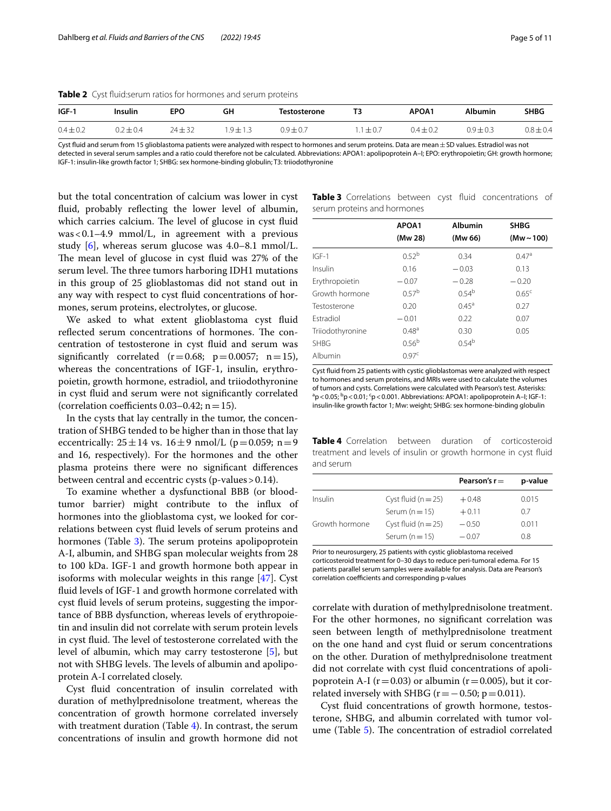<span id="page-4-0"></span>**Table 2** Cyst fuid:serum ratios for hormones and serum proteins

| $IGF-1$       | Insulin       | EPO         | GH         | <b>Testosterone</b> | ΤЗ          | APOA1         | <b>Albumin</b> | <b>SHBG</b>   |
|---------------|---------------|-------------|------------|---------------------|-------------|---------------|----------------|---------------|
| $0.4 \pm 0.2$ | $0.2 \pm 0.4$ | $24 \pm 32$ | $.9 + 1.3$ | $0.9 \pm 0.7$       | $1 \pm 0.7$ | $0.4 \pm 0.2$ | $0.9 \pm 0.3$  | $0.8 \pm 0.4$ |

Cyst fluid and serum from 15 glioblastoma patients were analyzed with respect to hormones and serum proteins. Data are mean ± SD values. Estradiol was not detected in several serum samples and a ratio could therefore not be calculated. Abbreviations: APOA1: apolipoprotein A–I; EPO: erythropoietin; GH: growth hormone; IGF-1: insulin-like growth factor 1; SHBG: sex hormone-binding globulin; T3: triiodothyronine

but the total concentration of calcium was lower in cyst fuid, probably refecting the lower level of albumin, which carries calcium. The level of glucose in cyst fluid was<0.1–4.9 mmol/L, in agreement with a previous study [[6\]](#page-8-4), whereas serum glucose was 4.0–8.1 mmol/L. The mean level of glucose in cyst fluid was 27% of the serum level. The three tumors harboring IDH1 mutations in this group of 25 glioblastomas did not stand out in any way with respect to cyst fuid concentrations of hormones, serum proteins, electrolytes, or glucose.

We asked to what extent glioblastoma cyst fuid reflected serum concentrations of hormones. The concentration of testosterone in cyst fuid and serum was significantly correlated  $(r=0.68; p=0.0057; n=15)$ , whereas the concentrations of IGF-1, insulin, erythropoietin, growth hormone, estradiol, and triiodothyronine in cyst fuid and serum were not signifcantly correlated (correlation coefficients  $0.03-0.42$ ; n = 15).

In the cysts that lay centrally in the tumor, the concentration of SHBG tended to be higher than in those that lay eccentrically:  $25 \pm 14$  vs.  $16 \pm 9$  nmol/L (p=0.059; n=9 and 16, respectively). For the hormones and the other plasma proteins there were no signifcant diferences between central and eccentric cysts (p-values>0.14).

To examine whether a dysfunctional BBB (or bloodtumor barrier) might contribute to the infux of hormones into the glioblastoma cyst, we looked for correlations between cyst fuid levels of serum proteins and hormones (Table [3\)](#page-4-1). The serum proteins apolipoprotein A-I, albumin, and SHBG span molecular weights from 28 to 100 kDa. IGF-1 and growth hormone both appear in isoforms with molecular weights in this range [[47\]](#page-9-8). Cyst fuid levels of IGF-1 and growth hormone correlated with cyst fuid levels of serum proteins, suggesting the importance of BBB dysfunction, whereas levels of erythropoietin and insulin did not correlate with serum protein levels in cyst fluid. The level of testosterone correlated with the level of albumin, which may carry testosterone [[5\]](#page-8-5), but not with SHBG levels. The levels of albumin and apolipoprotein A-I correlated closely.

Cyst fuid concentration of insulin correlated with duration of methylprednisolone treatment, whereas the concentration of growth hormone correlated inversely with treatment duration (Table [4](#page-4-2)). In contrast, the serum concentrations of insulin and growth hormone did not

<span id="page-4-1"></span>**Table 3** Correlations between cyst fuid concentrations of serum proteins and hormones

|                  | APOA1             | <b>Albumin</b>    | <b>SHBG</b>     |
|------------------|-------------------|-------------------|-----------------|
|                  | (Mw 28)           | (Mw 66)           | (Mw $\sim$ 100) |
| $IGF-1$          | 0.52 <sup>b</sup> | 0.34              | 0.47a           |
| Insulin          | 0.16              | $-0.03$           | 0.13            |
| Erythropoietin   | $-0.07$           | $-0.28$           | $-0.20$         |
| Growth hormone   | 0.57 <sup>b</sup> | $0.54^{b}$        | $0.65^{\circ}$  |
| Testosterone     | 0.20              | $0.45^{\text{a}}$ | 0.27            |
| Estradiol        | $-0.01$           | 0.22              | 0.07            |
| Triiodothyronine | $0.48^{a}$        | 0.30              | 0.05            |
| <b>SHBG</b>      | 0.56 <sup>b</sup> | $0.54^{b}$        |                 |
| Albumin          | 0.97 <sup>c</sup> |                   |                 |

Cyst fuid from 25 patients with cystic glioblastomas were analyzed with respect to hormones and serum proteins, and MRIs were used to calculate the volumes of tumors and cysts. Correlations were calculated with Pearson's test. Asterisks:  $a<sub>p</sub>$  < 0.05;  $b<sub>p</sub>$  < 0.01;  $c<sub>p</sub>$  < 0.001. Abbreviations: APOA1: apolipoprotein A–I; IGF-1: insulin-like growth factor 1; Mw: weight; SHBG: sex hormone-binding globulin

<span id="page-4-2"></span>**Table 4** Correlation between duration of corticosteroid treatment and levels of insulin or growth hormone in cyst fuid and serum

|                |                       | Pearson's $r =$ | p-value |
|----------------|-----------------------|-----------------|---------|
| Insulin        | Cyst fluid $(n=25)$   | $+0.48$         | 0.015   |
|                | Serum $(n=15)$        | $+0.11$         | 07      |
| Growth hormone | Cyst fluid $(n = 25)$ | $-0.50$         | 0.011   |
|                | Serum $(n=15)$        | $-0.07$         | 08      |
|                |                       |                 |         |

Prior to neurosurgery, 25 patients with cystic glioblastoma received corticosteroid treatment for 0–30 days to reduce peri-tumoral edema. For 15 patients parallel serum samples were available for analysis. Data are Pearson's correlation coefficients and corresponding p-values

correlate with duration of methylprednisolone treatment. For the other hormones, no signifcant correlation was seen between length of methylprednisolone treatment on the one hand and cyst fuid or serum concentrations on the other. Duration of methylprednisolone treatment did not correlate with cyst fuid concentrations of apolipoprotein A-I ( $r=0.03$ ) or albumin ( $r=0.005$ ), but it correlated inversely with SHBG ( $r = -0.50$ ;  $p = 0.011$ ).

Cyst fuid concentrations of growth hormone, testosterone, SHBG, and albumin correlated with tumor vol-ume (Table [5\)](#page-5-0). The concentration of estradiol correlated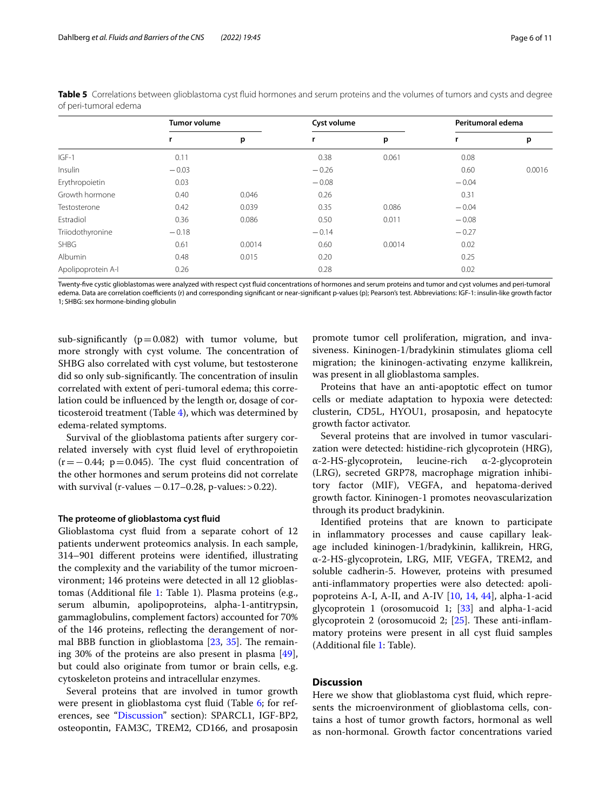|                    | <b>Tumor volume</b> |        | Cyst volume |        | Peritumoral edema |        |
|--------------------|---------------------|--------|-------------|--------|-------------------|--------|
|                    |                     | p      | r           | p      |                   | p      |
| $IGF-1$            | 0.11                |        | 0.38        | 0.061  | 0.08              |        |
| Insulin            | $-0.03$             |        | $-0.26$     |        | 0.60              | 0.0016 |
| Erythropoietin     | 0.03                |        | $-0.08$     |        | $-0.04$           |        |
| Growth hormone     | 0.40                | 0.046  | 0.26        |        | 0.31              |        |
| Testosterone       | 0.42                | 0.039  | 0.35        | 0.086  | $-0.04$           |        |
| Estradiol          | 0.36                | 0.086  | 0.50        | 0.011  | $-0.08$           |        |
| Triiodothyronine   | $-0.18$             |        | $-0.14$     |        | $-0.27$           |        |
| <b>SHBG</b>        | 0.61                | 0.0014 | 0.60        | 0.0014 | 0.02              |        |
| Albumin            | 0.48                | 0.015  | 0.20        |        | 0.25              |        |
| Apolipoprotein A-I | 0.26                |        | 0.28        |        | 0.02              |        |

<span id="page-5-0"></span>**Table 5** Correlations between glioblastoma cyst fluid hormones and serum proteins and the volumes of tumors and cysts and degree of peri-tumoral edema

Twenty-fve cystic glioblastomas were analyzed with respect cyst fuid concentrations of hormones and serum proteins and tumor and cyst volumes and peri-tumoral edema. Data are correlation coefficients (r) and corresponding significant or near-significant p-values (p); Pearson's test. Abbreviations: IGF-1: insulin-like growth factor 1; SHBG: sex hormone-binding globulin

sub-significantly ( $p=0.082$ ) with tumor volume, but more strongly with cyst volume. The concentration of SHBG also correlated with cyst volume, but testosterone did so only sub-significantly. The concentration of insulin correlated with extent of peri-tumoral edema; this correlation could be infuenced by the length or, dosage of corticosteroid treatment (Table [4](#page-4-2)), which was determined by edema-related symptoms.

Survival of the glioblastoma patients after surgery correlated inversely with cyst fuid level of erythropoietin  $(r=-0.44; p=0.045)$ . The cyst fluid concentration of the other hormones and serum proteins did not correlate with survival (r-values  $-0.17-0.28$ , p-values: > 0.22).

## **The proteome of glioblastoma cyst fuid**

Glioblastoma cyst fuid from a separate cohort of 12 patients underwent proteomics analysis. In each sample, 314–901 diferent proteins were identifed, illustrating the complexity and the variability of the tumor microenvironment; 146 proteins were detected in all 12 glioblastomas (Additional fle [1](#page-8-6): Table 1). Plasma proteins (e.g., serum albumin, apolipoproteins, alpha-1-antitrypsin, gammaglobulins, complement factors) accounted for 70% of the 146 proteins, refecting the derangement of normal BBB function in glioblastoma  $[23, 35]$  $[23, 35]$  $[23, 35]$  $[23, 35]$ . The remaining 30% of the proteins are also present in plasma [\[49](#page-10-6)], but could also originate from tumor or brain cells, e.g. cytoskeleton proteins and intracellular enzymes.

Several proteins that are involved in tumor growth were present in glioblastoma cyst fuid (Table [6](#page-6-0); for references, see "[Discussion"](#page-5-1) section): SPARCL1, IGF-BP2, osteopontin, FAM3C, TREM2, CD166, and prosaposin

promote tumor cell proliferation, migration, and invasiveness. Kininogen-1/bradykinin stimulates glioma cell migration; the kininogen-activating enzyme kallikrein, was present in all glioblastoma samples.

Proteins that have an anti-apoptotic efect on tumor cells or mediate adaptation to hypoxia were detected: clusterin, CD5L, HYOU1, prosaposin, and hepatocyte growth factor activator.

Several proteins that are involved in tumor vascularization were detected: histidine-rich glycoprotein (HRG), α-2-HS-glycoprotein, leucine-rich α-2-glycoprotein (LRG), secreted GRP78, macrophage migration inhibitory factor (MIF), VEGFA, and hepatoma-derived growth factor. Kininogen-1 promotes neovascularization through its product bradykinin.

Identifed proteins that are known to participate in infammatory processes and cause capillary leakage included kininogen-1/bradykinin, kallikrein, HRG, α-2-HS-glycoprotein, LRG, MIF, VEGFA, TREM2, and soluble cadherin-5. However, proteins with presumed anti-infammatory properties were also detected: apolipoproteins A-I, A-II, and A-IV  $[10, 14, 44]$  $[10, 14, 44]$  $[10, 14, 44]$  $[10, 14, 44]$  $[10, 14, 44]$  $[10, 14, 44]$ , alpha-1-acid glycoprotein 1 (orosomucoid 1; [[33\]](#page-9-10) and alpha-1-acid glycoprotein 2 (orosomucoid 2;  $[25]$  $[25]$ . These anti-inflammatory proteins were present in all cyst fuid samples (Additional fle [1](#page-8-6): Table).

## <span id="page-5-1"></span>**Discussion**

Here we show that glioblastoma cyst fuid, which represents the microenvironment of glioblastoma cells, contains a host of tumor growth factors, hormonal as well as non-hormonal. Growth factor concentrations varied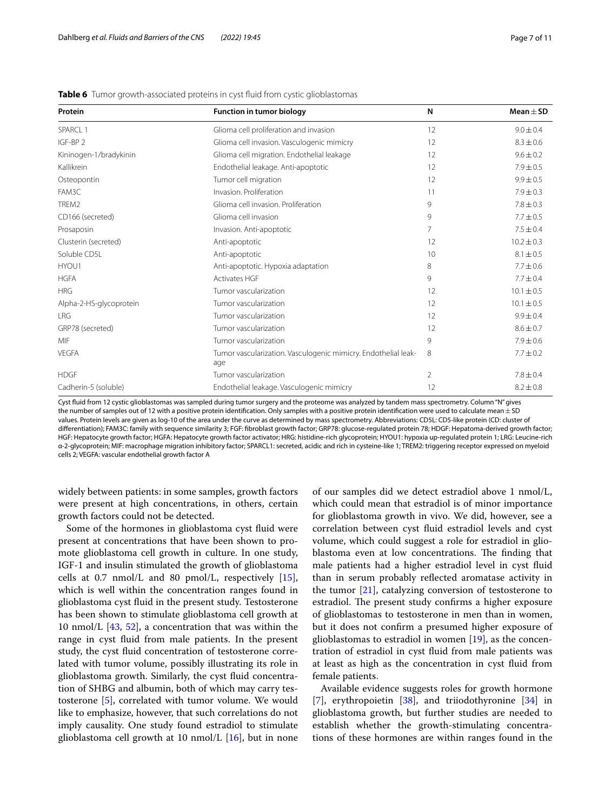| Protein                 | <b>Function in tumor biology</b>                                      | N  | Mean $\pm$ SD  |
|-------------------------|-----------------------------------------------------------------------|----|----------------|
| SPARCL 1                | Glioma cell proliferation and invasion                                | 12 | $9.0 \pm 0.4$  |
| IGF-BP <sub>2</sub>     | Glioma cell invasion. Vasculogenic mimicry                            | 12 | $8.3 \pm 0.6$  |
| Kininogen-1/bradykinin  | Glioma cell migration. Endothelial leakage                            | 12 | $9.6 \pm 0.2$  |
| Kallikrein              | Endothelial leakage. Anti-apoptotic                                   | 12 | $7.9 \pm 0.5$  |
| Osteopontin             | Tumor cell migration                                                  | 12 | $9.9 \pm 0.5$  |
| FAM3C                   | Invasion, Proliferation                                               | 11 | $7.9 \pm 0.3$  |
| TREM2                   | Glioma cell invasion. Proliferation                                   | 9  | $7.8 \pm 0.3$  |
| CD166 (secreted)        | Glioma cell invasion                                                  | 9  | $7.7 \pm 0.5$  |
| Prosaposin              | Invasion. Anti-apoptotic                                              | 7  | $7.5 \pm 0.4$  |
| Clusterin (secreted)    | Anti-apoptotic                                                        | 12 | $10.2 \pm 0.3$ |
| Soluble CD5L            | Anti-apoptotic                                                        | 10 | $8.1 \pm 0.5$  |
| HYOU1                   | Anti-apoptotic. Hypoxia adaptation                                    | 8  | $7.7 \pm 0.6$  |
| <b>HGFA</b>             | Activates HGF                                                         | 9  | $7.7 \pm 0.4$  |
| <b>HRG</b>              | Tumor vascularization                                                 | 12 | $10.1 \pm 0.5$ |
| Alpha-2-HS-glycoprotein | Tumor vascularization                                                 | 12 | $10.1 \pm 0.5$ |
| <b>LRG</b>              | Tumor vascularization                                                 | 12 | $9.9 \pm 0.4$  |
| GRP78 (secreted)        | Tumor vascularization                                                 | 12 | $8.6 \pm 0.7$  |
| MIF                     | Tumor vascularization                                                 | 9  | $7.9 \pm 0.6$  |
| <b>VEGFA</b>            | Tumor vascularization. Vasculogenic mimicry. Endothelial leak-<br>age | 8  | $7.7 \pm 0.2$  |
| <b>HDGF</b>             | Tumor vascularization                                                 | 2  | $7.8 \pm 0.4$  |
| Cadherin-5 (soluble)    | Endothelial leakage. Vasculogenic mimicry                             | 12 | $8.2 \pm 0.8$  |

<span id="page-6-0"></span>**Table 6** Tumor growth-associated proteins in cyst fluid from cystic glioblastomas

Cyst fuid from 12 cystic glioblastomas was sampled during tumor surgery and the proteome was analyzed by tandem mass spectrometry. Column "N" gives the number of samples out of 12 with a positive protein identification. Only samples with a positive protein identification were used to calculate mean  $\pm$  SD values. Protein levels are given as log-10 of the area under the curve as determined by mass spectrometry. Abbreviations: CD5L: CD5-like protein (CD: cluster of diferentiation); FAM3C: family with sequence similarity 3; FGF: fbroblast growth factor; GRP78: glucose-regulated protein 78; HDGF: Hepatoma-derived growth factor; HGF: Hepatocyte growth factor; HGFA: Hepatocyte growth factor activator; HRG: histidine-rich glycoprotein; HYOU1: hypoxia up-regulated protein 1; LRG: Leucine-rich α-2-glycoprotein; MIF: macrophage migration inhibitory factor; SPARCL1: secreted, acidic and rich in cysteine-like 1; TREM2: triggering receptor expressed on myeloid cells 2; VEGFA: vascular endothelial growth factor A

widely between patients: in some samples, growth factors were present at high concentrations, in others, certain growth factors could not be detected.

Some of the hormones in glioblastoma cyst fuid were present at concentrations that have been shown to promote glioblastoma cell growth in culture. In one study, IGF-1 and insulin stimulated the growth of glioblastoma cells at 0.7  $nmol/L$  and 80  $pmol/L$ , respectively  $[15]$  $[15]$ , which is well within the concentration ranges found in glioblastoma cyst fuid in the present study. Testosterone has been shown to stimulate glioblastoma cell growth at 10 nmol/L  $[43, 52]$  $[43, 52]$  $[43, 52]$  $[43, 52]$  $[43, 52]$ , a concentration that was within the range in cyst fuid from male patients. In the present study, the cyst fuid concentration of testosterone correlated with tumor volume, possibly illustrating its role in glioblastoma growth. Similarly, the cyst fuid concentration of SHBG and albumin, both of which may carry testosterone [\[5\]](#page-8-5), correlated with tumor volume. We would like to emphasize, however, that such correlations do not imply causality. One study found estradiol to stimulate glioblastoma cell growth at 10 nmol/L  $[16]$ , but in none

of our samples did we detect estradiol above 1 nmol/L, which could mean that estradiol is of minor importance for glioblastoma growth in vivo. We did, however, see a correlation between cyst fuid estradiol levels and cyst volume, which could suggest a role for estradiol in glioblastoma even at low concentrations. The finding that male patients had a higher estradiol level in cyst fuid than in serum probably refected aromatase activity in the tumor [[21](#page-9-14)], catalyzing conversion of testosterone to estradiol. The present study confirms a higher exposure of glioblastomas to testosterone in men than in women, but it does not confrm a presumed higher exposure of glioblastomas to estradiol in women [\[19](#page-9-15)], as the concentration of estradiol in cyst fuid from male patients was at least as high as the concentration in cyst fuid from female patients.

Available evidence suggests roles for growth hormone [[7\]](#page-8-10), erythropoietin [[38\]](#page-9-16), and triiodothyronine [[34\]](#page-9-17) in glioblastoma growth, but further studies are needed to establish whether the growth-stimulating concentrations of these hormones are within ranges found in the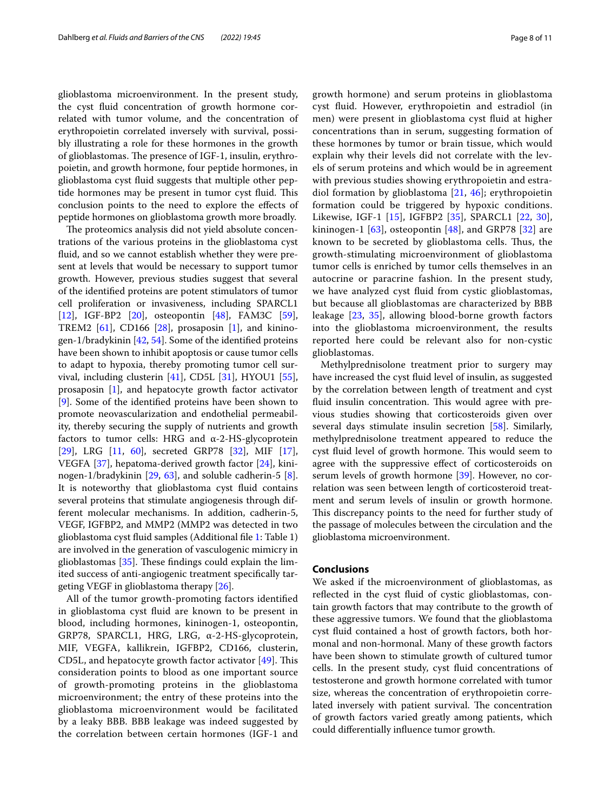glioblastoma microenvironment. In the present study, the cyst fuid concentration of growth hormone correlated with tumor volume, and the concentration of erythropoietin correlated inversely with survival, possibly illustrating a role for these hormones in the growth of glioblastomas. The presence of IGF-1, insulin, erythropoietin, and growth hormone, four peptide hormones, in glioblastoma cyst fuid suggests that multiple other peptide hormones may be present in tumor cyst fluid. This conclusion points to the need to explore the efects of peptide hormones on glioblastoma growth more broadly.

The proteomics analysis did not yield absolute concentrations of the various proteins in the glioblastoma cyst fuid, and so we cannot establish whether they were present at levels that would be necessary to support tumor growth. However, previous studies suggest that several of the identifed proteins are potent stimulators of tumor cell proliferation or invasiveness, including SPARCL1 [[12\]](#page-8-11), IGF-BP2 [\[20](#page-9-18)], osteopontin [\[48\]](#page-9-19), FAM3C [\[59](#page-10-8)], TREM2  $[61]$ , CD166  $[28]$  $[28]$  $[28]$ , prosaposin  $[1]$  $[1]$ , and kininogen-1/bradykinin [\[42,](#page-9-21) [54](#page-10-10)]. Some of the identifed proteins have been shown to inhibit apoptosis or cause tumor cells to adapt to hypoxia, thereby promoting tumor cell survival, including clusterin  $[41]$  $[41]$ , CD5L  $[31]$  $[31]$ , HYOU1  $[55]$  $[55]$ , prosaposin [\[1\]](#page-8-12), and hepatocyte growth factor activator [[9\]](#page-8-13). Some of the identifed proteins have been shown to promote neovascularization and endothelial permeability, thereby securing the supply of nutrients and growth factors to tumor cells: HRG and  $\alpha$ -2-HS-glycoprotein [[29\]](#page-9-24), LRG [\[11](#page-8-14), [60](#page-10-12)], secreted GRP78 [\[32\]](#page-9-25), MIF [\[17](#page-9-26)], VEGFA [\[37](#page-9-27)], hepatoma-derived growth factor [\[24\]](#page-9-28), kininogen-1/bradykinin [[29,](#page-9-24) [63\]](#page-10-13), and soluble cadherin-5 [\[8](#page-8-15)]. It is noteworthy that glioblastoma cyst fuid contains several proteins that stimulate angiogenesis through different molecular mechanisms. In addition, cadherin-5, VEGF, IGFBP2, and MMP2 (MMP2 was detected in two glioblastoma cyst fuid samples (Additional fle [1:](#page-8-6) Table 1) are involved in the generation of vasculogenic mimicry in glioblastomas  $[35]$  $[35]$ . These findings could explain the limited success of anti-angiogenic treatment specifcally targeting VEGF in glioblastoma therapy [[26\]](#page-9-4).

All of the tumor growth-promoting factors identifed in glioblastoma cyst fuid are known to be present in blood, including hormones, kininogen-1, osteopontin, GRP78, SPARCL1, HRG, LRG, α-2-HS-glycoprotein, MIF, VEGFA, kallikrein, IGFBP2, CD166, clusterin, CD5L, and hepatocyte growth factor activator  $[49]$  $[49]$ . This consideration points to blood as one important source of growth-promoting proteins in the glioblastoma microenvironment; the entry of these proteins into the glioblastoma microenvironment would be facilitated by a leaky BBB. BBB leakage was indeed suggested by the correlation between certain hormones (IGF-1 and growth hormone) and serum proteins in glioblastoma cyst fuid. However, erythropoietin and estradiol (in men) were present in glioblastoma cyst fuid at higher concentrations than in serum, suggesting formation of these hormones by tumor or brain tissue, which would explain why their levels did not correlate with the levels of serum proteins and which would be in agreement with previous studies showing erythropoietin and estradiol formation by glioblastoma [[21,](#page-9-14) [46\]](#page-9-29); erythropoietin formation could be triggered by hypoxic conditions. Likewise, IGF-1 [\[15\]](#page-8-9), IGFBP2 [[35](#page-9-7)], SPARCL1 [[22,](#page-9-30) [30](#page-9-31)], kininogen-1  $[63]$  $[63]$ , osteopontin  $[48]$  $[48]$ , and GRP78  $[32]$  are known to be secreted by glioblastoma cells. Thus, the growth-stimulating microenvironment of glioblastoma tumor cells is enriched by tumor cells themselves in an autocrine or paracrine fashion. In the present study, we have analyzed cyst fuid from cystic glioblastomas, but because all glioblastomas are characterized by BBB leakage [\[23](#page-9-6), [35\]](#page-9-7), allowing blood-borne growth factors into the glioblastoma microenvironment, the results reported here could be relevant also for non-cystic glioblastomas.

Methylprednisolone treatment prior to surgery may have increased the cyst fuid level of insulin, as suggested by the correlation between length of treatment and cyst fluid insulin concentration. This would agree with previous studies showing that corticosteroids given over several days stimulate insulin secretion [[58](#page-10-14)]. Similarly, methylprednisolone treatment appeared to reduce the cyst fluid level of growth hormone. This would seem to agree with the suppressive efect of corticosteroids on serum levels of growth hormone [[39\]](#page-9-32). However, no correlation was seen between length of corticosteroid treatment and serum levels of insulin or growth hormone. This discrepancy points to the need for further study of the passage of molecules between the circulation and the glioblastoma microenvironment.

## **Conclusions**

We asked if the microenvironment of glioblastomas, as reflected in the cyst fluid of cystic glioblastomas, contain growth factors that may contribute to the growth of these aggressive tumors. We found that the glioblastoma cyst fuid contained a host of growth factors, both hormonal and non-hormonal. Many of these growth factors have been shown to stimulate growth of cultured tumor cells. In the present study, cyst fuid concentrations of testosterone and growth hormone correlated with tumor size, whereas the concentration of erythropoietin correlated inversely with patient survival. The concentration of growth factors varied greatly among patients, which could diferentially infuence tumor growth.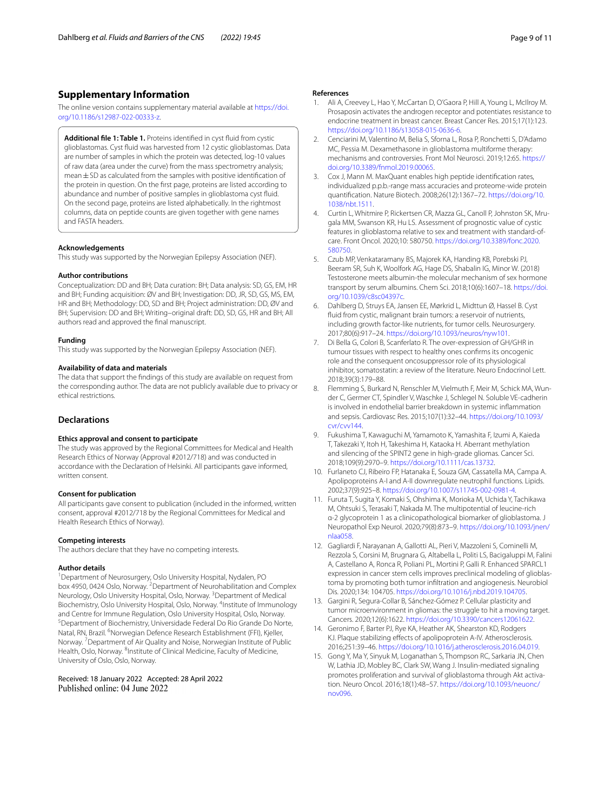## **Supplementary Information**

The online version contains supplementary material available at [https://doi.](https://doi.org/10.1186/s12987-022-00333-z) [org/10.1186/s12987-022-00333-z.](https://doi.org/10.1186/s12987-022-00333-z)

<span id="page-8-6"></span>**Additional fle 1: Table 1.** Proteins identifed in cyst fuid from cystic glioblastomas. Cyst fuid was harvested from 12 cystic glioblastomas. Data are number of samples in which the protein was detected, log-10 values of raw data (area under the curve) from the mass spectrometry analysis; mean±SD as calculated from the samples with positive identifcation of the protein in question. On the frst page, proteins are listed according to abundance and number of positive samples in glioblastoma cyst fuid. On the second page, proteins are listed alphabetically. In the rightmost columns, data on peptide counts are given together with gene names and FASTA headers.

#### **Acknowledgements**

This study was supported by the Norwegian Epilepsy Association (NEF).

#### **Author contributions**

Conceptualization: DD and BH; Data curation: BH; Data analysis: SD, GS, EM, HR and BH; Funding acquisition: ØV and BH; Investigation: DD, JR, SD, GS, MS, EM, HR and BH; Methodology: DD, SD and BH; Project administration: DD, ØV and BH; Supervision: DD and BH; Writing–original draft: DD, SD, GS, HR and BH; All authors read and approved the fnal manuscript.

#### **Funding**

This study was supported by the Norwegian Epilepsy Association (NEF).

#### **Availability of data and materials**

The data that support the fndings of this study are available on request from the corresponding author. The data are not publicly available due to privacy or ethical restrictions.

## **Declarations**

#### **Ethics approval and consent to participate**

The study was approved by the Regional Committees for Medical and Health Research Ethics of Norway (Approval #2012/718) and was conducted in accordance with the Declaration of Helsinki. All participants gave informed, written consent.

#### **Consent for publication**

All participants gave consent to publication (included in the informed, written consent, approval #2012/718 by the Regional Committees for Medical and Health Research Ethics of Norway).

#### **Competing interests**

The authors declare that they have no competing interests.

#### **Author details**

<sup>1</sup> Department of Neurosurgery, Oslo University Hospital, Nydalen, PO box 4950, 0424 Oslo, Norway. <sup>2</sup> Department of Neurohabilitation and Complex Neurology, Oslo University Hospital, Oslo, Norway. <sup>3</sup> Department of Medical Biochemistry, Oslo University Hospital, Oslo, Norway. <sup>4</sup>Institute of Immunology and Centre for Immune Regulation, Oslo University Hospital, Oslo, Norway. <sup>5</sup> Department of Biochemistry, Universidade Federal Do Rio Grande Do Norte, Natal, RN, Brazil. <sup>6</sup>Norwegian Defence Research Establishment (FFI), Kjeller, Norway. <sup>7</sup> Department of Air Quality and Noise, Norwegian Institute of Public Health, Oslo, Norway. <sup>8</sup>Institute of Clinical Medicine, Faculty of Medicine, University of Oslo, Oslo, Norway.

Received: 18 January 2022 Accepted: 28 April 2022 Published online: 04 June 2022

#### **References**

- <span id="page-8-12"></span>1. Ali A, Creevey L, Hao Y, McCartan D, O'Gaora P, Hill A, Young L, McIlroy M. Prosaposin activates the androgen receptor and potentiates resistance to endocrine treatment in breast cancer. Breast Cancer Res. 2015;17(1):123. [https://doi.org/10.1186/s13058-015-0636-6.](https://doi.org/10.1186/s13058-015-0636-6)
- <span id="page-8-0"></span>2. Cenciarini M, Valentino M, Belia S, Sforna L, Rosa P, Ronchetti S, D'Adamo MC, Pessia M. Dexamethasone in glioblastoma multiforme therapy: mechanisms and controversies. Front Mol Neurosci. 2019;12:65. [https://](https://doi.org/10.3389/fnmol.2019.00065) [doi.org/10.3389/fnmol.2019.00065.](https://doi.org/10.3389/fnmol.2019.00065)
- <span id="page-8-3"></span>3. Cox J, Mann M. MaxQuant enables high peptide identifcation rates, individualized p.p.b.-range mass accuracies and proteome-wide protein quantifcation. Nature Biotech. 2008;26(12):1367–72. [https://doi.org/10.](https://doi.org/10.1038/nbt.1511) [1038/nbt.1511](https://doi.org/10.1038/nbt.1511).
- <span id="page-8-2"></span>4. Curtin L, Whitmire P, Rickertsen CR, Mazza GL, Canoll P, Johnston SK, Mrugala MM, Swanson KR, Hu LS. Assessment of prognostic value of cystic features in glioblastoma relative to sex and treatment with standard-ofcare. Front Oncol. 2020;10: 580750. [https://doi.org/10.3389/fonc.2020.](https://doi.org/10.3389/fonc.2020.580750) [580750.](https://doi.org/10.3389/fonc.2020.580750)
- <span id="page-8-5"></span>5. Czub MP, Venkataramany BS, Majorek KA, Handing KB, Porebski PJ, Beeram SR, Suh K, Woolfork AG, Hage DS, Shabalin IG, Minor W. (2018) Testosterone meets albumin-the molecular mechanism of sex hormone transport by serum albumins. Chem Sci. 2018;10(6):1607–18. [https://doi.](https://doi.org/10.1039/c8sc04397c) [org/10.1039/c8sc04397c](https://doi.org/10.1039/c8sc04397c).
- <span id="page-8-4"></span>6. Dahlberg D, Struys EA, Jansen EE, Mørkrid L, Midttun Ø, Hassel B. Cyst fuid from cystic, malignant brain tumors: a reservoir of nutrients, including growth factor-like nutrients, for tumor cells. Neurosurgery. 2017;80(6):917–24. [https://doi.org/10.1093/neuros/nyw101.](https://doi.org/10.1093/neuros/nyw101)
- <span id="page-8-10"></span>7. Di Bella G, Colori B, Scanferlato R. The over-expression of GH/GHR in tumour tissues with respect to healthy ones confrms its oncogenic role and the consequent oncosuppressor role of its physiological inhibitor, somatostatin: a review of the literature. Neuro Endocrinol Lett. 2018;39(3):179–88.
- <span id="page-8-15"></span>8. Flemming S, Burkard N, Renschler M, Vielmuth F, Meir M, Schick MA, Wunder C, Germer CT, Spindler V, Waschke J, Schlegel N. Soluble VE-cadherin is involved in endothelial barrier breakdown in systemic infammation and sepsis. Cardiovasc Res. 2015;107(1):32–44. [https://doi.org/10.1093/](https://doi.org/10.1093/cvr/cvv144) [cvr/cvv144.](https://doi.org/10.1093/cvr/cvv144)
- <span id="page-8-13"></span>9. Fukushima T, Kawaguchi M, Yamamoto K, Yamashita F, Izumi A, Kaieda T, Takezaki Y, Itoh H, Takeshima H, Kataoka H. Aberrant methylation and silencing of the SPINT2 gene in high-grade gliomas. Cancer Sci. 2018;109(9):2970–9. [https://doi.org/10.1111/cas.13732.](https://doi.org/10.1111/cas.13732)
- <span id="page-8-7"></span>10. Furlaneto CJ, Ribeiro FP, Hatanaka E, Souza GM, Cassatella MA, Campa A. Apolipoproteins A-I and A-II downregulate neutrophil functions. Lipids. 2002;37(9):925–8.<https://doi.org/10.1007/s11745-002-0981-4>.
- <span id="page-8-14"></span>11. Furuta T, Sugita Y, Komaki S, Ohshima K, Morioka M, Uchida Y, Tachikawa M, Ohtsuki S, Terasaki T, Nakada M. The multipotential of leucine-rich α-2 glycoprotein 1 as a clinicopathological biomarker of glioblastoma. J Neuropathol Exp Neurol. 2020;79(8):873–9. [https://doi.org/10.1093/jnen/](https://doi.org/10.1093/jnen/nlaa058) [nlaa058](https://doi.org/10.1093/jnen/nlaa058).
- <span id="page-8-11"></span>12. Gagliardi F, Narayanan A, Gallotti AL, Pieri V, Mazzoleni S, Cominelli M, Rezzola S, Corsini M, Brugnara G, Altabella L, Politi LS, Bacigaluppi M, Falini A, Castellano A, Ronca R, Poliani PL, Mortini P, Galli R. Enhanced SPARCL1 expression in cancer stem cells improves preclinical modeling of glioblastoma by promoting both tumor infltration and angiogenesis. Neurobiol Dis. 2020;134: 104705. [https://doi.org/10.1016/j.nbd.2019.104705.](https://doi.org/10.1016/j.nbd.2019.104705)
- <span id="page-8-1"></span>13. Gargini R, Segura-Collar B, Sánchez-Gómez P. Cellular plasticity and tumor microenvironment in gliomas: the struggle to hit a moving target. Cancers. 2020;12(6):1622. [https://doi.org/10.3390/cancers12061622.](https://doi.org/10.3390/cancers12061622)
- <span id="page-8-8"></span>14. Geronimo F, Barter PJ, Rye KA, Heather AK, Shearston KD, Rodgers KJ. Plaque stabilizing efects of apolipoprotein A-IV. Atherosclerosis. 2016;251:39–46. [https://doi.org/10.1016/j.atherosclerosis.2016.04.019.](https://doi.org/10.1016/j.atherosclerosis.2016.04.019)
- <span id="page-8-9"></span>15. Gong Y, Ma Y, Sinyuk M, Loganathan S, Thompson RC, Sarkaria JN, Chen W, Lathia JD, Mobley BC, Clark SW, Wang J. Insulin-mediated signaling promotes proliferation and survival of glioblastoma through Akt activation. Neuro Oncol. 2016;18(1):48–57. [https://doi.org/10.1093/neuonc/](https://doi.org/10.1093/neuonc/nov096) [nov096](https://doi.org/10.1093/neuonc/nov096).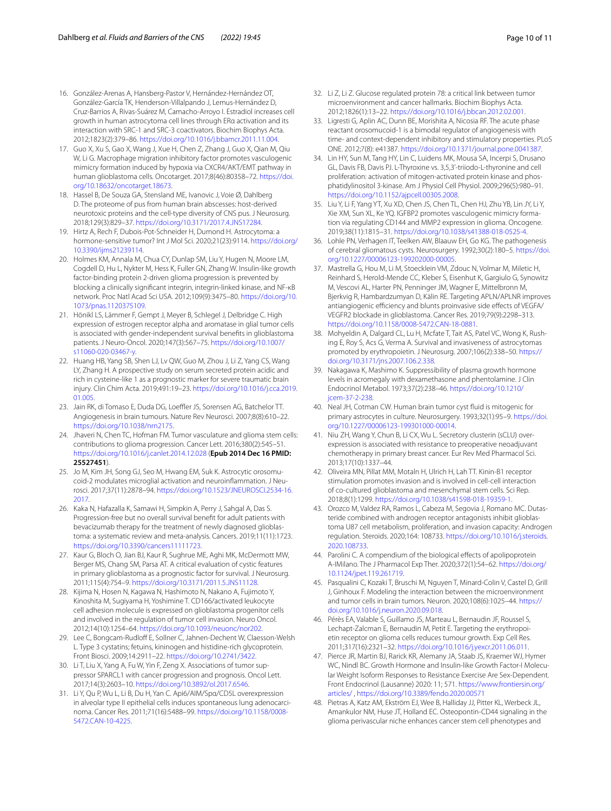- <span id="page-9-13"></span>16. González-Arenas A, Hansberg-Pastor V, Hernández-Hernández OT, González-García TK, Henderson-Villalpando J, Lemus-Hernández D, Cruz-Barrios A, Rivas-Suárez M, Camacho-Arroyo I. Estradiol increases cell growth in human astrocytoma cell lines through ERα activation and its interaction with SRC-1 and SRC-3 coactivators. Biochim Biophys Acta. 2012;1823(2):379–86. [https://doi.org/10.1016/j.bbamcr.2011.11.004.](https://doi.org/10.1016/j.bbamcr.2011.11.004)
- <span id="page-9-26"></span>17. Guo X, Xu S, Gao X, Wang J, Xue H, Chen Z, Zhang J, Guo X, Qian M, Qiu W, Li G. Macrophage migration inhibitory factor promotes vasculogenic mimicry formation induced by hypoxia via CXCR4/AKT/EMT pathway in human glioblastoma cells. Oncotarget. 2017;8(46):80358–72. [https://doi.](https://doi.org/10.18632/oncotarget.18673) [org/10.18632/oncotarget.18673.](https://doi.org/10.18632/oncotarget.18673)
- <span id="page-9-5"></span>18. Hassel B, De Souza GA, Stensland ME, Ivanovic J, Voie Ø, Dahlberg D. The proteome of pus from human brain abscesses: host-derived neurotoxic proteins and the cell-type diversity of CNS pus. J Neurosurg. 2018;129(3):829–37. <https://doi.org/10.3171/2017.4.JNS17284>.
- <span id="page-9-15"></span>19. Hirtz A, Rech F, Dubois-Pot-Schneider H, Dumond H. Astrocytoma: a hormone-sensitive tumor? Int J Mol Sci. 2020;21(23):9114. [https://doi.org/](https://doi.org/10.3390/ijms21239114) [10.3390/ijms21239114.](https://doi.org/10.3390/ijms21239114)
- <span id="page-9-18"></span>20. Holmes KM, Annala M, Chua CY, Dunlap SM, Liu Y, Hugen N, Moore LM, Cogdell D, Hu L, Nykter M, Hess K, Fuller GN, Zhang W. Insulin-like growth factor-binding protein 2-driven glioma progression is prevented by blocking a clinically signifcant integrin, integrin-linked kinase, and NF-κB network. Proc Natl Acad Sci USA. 2012;109(9):3475–80. [https://doi.org/10.](https://doi.org/10.1073/pnas.1120375109) [1073/pnas.1120375109](https://doi.org/10.1073/pnas.1120375109).
- <span id="page-9-14"></span>21. Hönikl LS, Lämmer F, Gempt J, Meyer B, Schlegel J, Delbridge C. High expression of estrogen receptor alpha and aromatase in glial tumor cells is associated with gender-independent survival benefts in glioblastoma patients. J Neuro-Oncol. 2020;147(3):567–75. [https://doi.org/10.1007/](https://doi.org/10.1007/s11060-020-03467-y) [s11060-020-03467-y.](https://doi.org/10.1007/s11060-020-03467-y)
- <span id="page-9-30"></span>22. Huang HB, Yang SB, Shen LJ, Lv QW, Guo M, Zhou J, Li Z, Yang CS, Wang LY, Zhang H. A prospective study on serum secreted protein acidic and rich in cysteine-like 1 as a prognostic marker for severe traumatic brain injury. Clin Chim Acta. 2019;491:19–23. [https://doi.org/10.1016/j.cca.2019.](https://doi.org/10.1016/j.cca.2019.01.005) [01.005](https://doi.org/10.1016/j.cca.2019.01.005).
- <span id="page-9-6"></span>23. Jain RK, di Tomaso E, Duda DG, Loeffler JS, Sorensen AG, Batchelor TT. Angiogenesis in brain tumours. Nature Rev Neurosci. 2007;8(8):610–22. <https://doi.org/10.1038/nrn2175>.
- <span id="page-9-28"></span>24. Jhaveri N, Chen TC, Hofman FM. Tumor vasculature and glioma stem cells: contributions to glioma progression. Cancer Lett. 2016;380(2):545–51. <https://doi.org/10.1016/j.canlet.2014.12.028>(**Epub 2014 Dec 16 PMID: 25527451**).
- <span id="page-9-11"></span>25. Jo M, Kim JH, Song GJ, Seo M, Hwang EM, Suk K. Astrocytic orosomucoid-2 modulates microglial activation and neuroinfammation. J Neurosci. 2017;37(11):2878–94. [https://doi.org/10.1523/JNEUROSCI.2534-16.](https://doi.org/10.1523/JNEUROSCI.2534-16.2017) [2017](https://doi.org/10.1523/JNEUROSCI.2534-16.2017).
- <span id="page-9-4"></span>26. Kaka N, Hafazalla K, Samawi H, Simpkin A, Perry J, Sahgal A, Das S. Progression-free but no overall survival beneft for adult patients with bevacizumab therapy for the treatment of newly diagnosed glioblastoma: a systematic review and meta-analysis. Cancers. 2019;11(11):1723. [https://doi.org/10.3390/cancers11111723.](https://doi.org/10.3390/cancers11111723)
- <span id="page-9-1"></span>27. Kaur G, Bloch O, Jian BJ, Kaur R, Sughrue ME, Aghi MK, McDermott MW, Berger MS, Chang SM, Parsa AT. A critical evaluation of cystic features in primary glioblastoma as a prognostic factor for survival. J Neurosurg. 2011;115(4):754–9. [https://doi.org/10.3171/2011.5.JNS11128.](https://doi.org/10.3171/2011.5.JNS11128)
- <span id="page-9-20"></span>28. Kijima N, Hosen N, Kagawa N, Hashimoto N, Nakano A, Fujimoto Y, Kinoshita M, Sugiyama H, Yoshimine T. CD166/activated leukocyte cell adhesion molecule is expressed on glioblastoma progenitor cells and involved in the regulation of tumor cell invasion. Neuro Oncol. 2012;14(10):1254–64. [https://doi.org/10.1093/neuonc/nor202.](https://doi.org/10.1093/neuonc/nor202)
- <span id="page-9-24"></span>29. Lee C, Bongcam-Rudloff E, Sollner C, Jahnen-Dechent W, Claesson-Welsh L. Type 3 cystatins; fetuins, kininogen and histidine-rich glycoprotein. Front Biosci. 2009;14:2911–22. [https://doi.org/10.2741/3422.](https://doi.org/10.2741/3422)
- <span id="page-9-31"></span>30. Li T, Liu X, Yang A, Fu W, Yin F, Zeng X. Associations of tumor suppressor SPARCL1 with cancer progression and prognosis. Oncol Lett. 2017;14(3):2603–10. [https://doi.org/10.3892/ol.2017.6546.](https://doi.org/10.3892/ol.2017.6546)
- <span id="page-9-23"></span>31. Li Y, Qu P, Wu L, Li B, Du H, Yan C. Api6/AIM/Spα/CD5L overexpression in alveolar type II epithelial cells induces spontaneous lung adenocarcinoma. Cancer Res. 2011;71(16):5488–99. [https://doi.org/10.1158/0008-](https://doi.org/10.1158/0008-5472.CAN-10-4225) [5472.CAN-10-4225.](https://doi.org/10.1158/0008-5472.CAN-10-4225)
- <span id="page-9-25"></span>32. Li Z, Li Z. Glucose regulated protein 78: a critical link between tumor microenvironment and cancer hallmarks. Biochim Biophys Acta. 2012;1826(1):13–22. <https://doi.org/10.1016/j.bbcan.2012.02.001>.
- <span id="page-9-10"></span>33. Ligresti G, Aplin AC, Dunn BE, Morishita A, Nicosia RF. The acute phase reactant orosomucoid-1 is a bimodal regulator of angiogenesis with time- and context-dependent inhibitory and stimulatory properties. PLoS ONE. 2012;7(8): e41387. [https://doi.org/10.1371/journal.pone.0041387.](https://doi.org/10.1371/journal.pone.0041387)
- <span id="page-9-17"></span>34. Lin HY, Sun M, Tang HY, Lin C, Luidens MK, Mousa SA, Incerpi S, Drusano GL, Davis FB, Davis PJ. L-Thyroxine vs. 3,5,3'-triiodo-L-thyronine and cell proliferation: activation of mitogen-activated protein kinase and phosphatidylinositol 3-kinase. Am J Physiol Cell Physiol. 2009;296(5):980–91. <https://doi.org/10.1152/ajpcell.00305.2008>.
- <span id="page-9-7"></span>35. Liu Y, Li F, Yang YT, Xu XD, Chen JS, Chen TL, Chen HJ, Zhu YB, Lin JY, Li Y, Xie XM, Sun XL, Ke YQ. IGFBP2 promotes vasculogenic mimicry formation via regulating CD144 and MMP2 expression in glioma. Oncogene. 2019;38(11):1815–31.<https://doi.org/10.1038/s41388-018-0525-4>.
- <span id="page-9-2"></span>36. Lohle PN, Verhagen IT, Teelken AW, Blaauw EH, Go KG. The pathogenesis of cerebral gliomatous cysts. Neurosurgery. 1992;30(2):180–5. [https://doi.](https://doi.org/10.1227/00006123-199202000-00005) [org/10.1227/00006123-199202000-00005](https://doi.org/10.1227/00006123-199202000-00005).
- <span id="page-9-27"></span>37. Mastrella G, Hou M, Li M, Stoecklein VM, Zdouc N, Volmar M, Miletic H, Reinhard S, Herold-Mende CC, Kleber S, Eisenhut K, Gargiulo G, Synowitz M, Vescovi AL, Harter PN, Penninger JM, Wagner E, Mittelbronn M, Bjerkvig R, Hambardzumyan D, Kälin RE. Targeting APLN/APLNR improves antiangiogenic efficiency and blunts proinvasive side effects of VEGFA/ VEGFR2 blockade in glioblastoma. Cancer Res. 2019;79(9):2298–313. <https://doi.org/10.1158/0008-5472.CAN-18-0881>.
- <span id="page-9-16"></span>38. Mohyeldin A, Dalgard CL, Lu H, Mcfate T, Tait AS, Patel VC, Wong K, Rushing E, Roy S, Acs G, Verma A. Survival and invasiveness of astrocytomas promoted by erythropoietin. J Neurosurg. 2007;106(2):338–50. [https://](https://doi.org/10.3171/jns.2007.106.2.338) [doi.org/10.3171/jns.2007.106.2.338](https://doi.org/10.3171/jns.2007.106.2.338).
- <span id="page-9-32"></span>39. Nakagawa K, Mashimo K. Suppressibility of plasma growth hormone levels in acromegaly with dexamethasone and phentolamine. J Clin Endocrinol Metabol. 1973;37(2):238–46. [https://doi.org/10.1210/](https://doi.org/10.1210/jcem-37-2-238) icem-37-2-238.
- <span id="page-9-3"></span>40. Neal JH, Cotman CW. Human brain tumor cyst fuid is mitogenic for primary astrocytes in culture. Neurosurgery. 1993;32(1):95–9. [https://doi.](https://doi.org/10.1227/00006123-199301000-00014) [org/10.1227/00006123-199301000-00014](https://doi.org/10.1227/00006123-199301000-00014).
- <span id="page-9-22"></span>41. Niu ZH, Wang Y, Chun B, Li CX, Wu L. Secretory clusterin (sCLU) overexpression is associated with resistance to preoperative neoadjuvant chemotherapy in primary breast cancer. Eur Rev Med Pharmacol Sci. 2013;17(10):1337–44.
- <span id="page-9-21"></span>42. Oliveira MN, Pillat MM, Motaln H, Ulrich H, Lah TT. Kinin-B1 receptor stimulation promotes invasion and is involved in cell-cell interaction of co-cultured glioblastoma and mesenchymal stem cells. Sci Rep. 2018;8(1):1299. <https://doi.org/10.1038/s41598-018-19359-1>.
- <span id="page-9-12"></span>43. Orozco M, Valdez RA, Ramos L, Cabeza M, Segovia J, Romano MC. Dutasteride combined with androgen receptor antagonists inhibit glioblastoma U87 cell metabolism, proliferation, and invasion capacity: Androgen regulation. Steroids. 2020;164: 108733. [https://doi.org/10.1016/j.steroids.](https://doi.org/10.1016/j.steroids.2020.108733) [2020.108733.](https://doi.org/10.1016/j.steroids.2020.108733)
- <span id="page-9-9"></span>44. Parolini C. A compendium of the biological efects of apolipoprotein A-IMilano. The J Pharmacol Exp Ther. 2020;372(1):54–62. [https://doi.org/](https://doi.org/10.1124/jpet.119.261719) [10.1124/jpet.119.261719.](https://doi.org/10.1124/jpet.119.261719)
- <span id="page-9-0"></span>45. Pasqualini C, Kozaki T, Bruschi M, Nguyen T, Minard-Colin V, Castel D, Grill J, Ginhoux F. Modeling the interaction between the microenvironment and tumor cells in brain tumors. Neuron. 2020;108(6):1025–44. [https://](https://doi.org/10.1016/j.neuron.2020.09.018) [doi.org/10.1016/j.neuron.2020.09.018.](https://doi.org/10.1016/j.neuron.2020.09.018)
- <span id="page-9-29"></span>46. Pérès EA, Valable S, Guillamo JS, Marteau L, Bernaudin JF, Roussel S, Lechapt-Zalcman E, Bernaudin M, Petit E. Targeting the erythropoietin receptor on glioma cells reduces tumour growth. Exp Cell Res. 2011;317(16):2321–32. [https://doi.org/10.1016/j.yexcr.2011.06.011.](https://doi.org/10.1016/j.yexcr.2011.06.011)
- <span id="page-9-8"></span>47. Pierce JR, Martin BJ, Rarick KR, Alemany JA, Staab JS, Kraemer WJ, Hymer WC, Nindl BC. Growth Hormone and Insulin-like Growth Factor-I Molecular Weight Isoform Responses to Resistance Exercise Are Sex-Dependent. Front Endocrinol (Lausanne) 2020: 11; 571. [https://www.frontiersin.org/](https://www.frontiersin.org/articles/) [articles/](https://www.frontiersin.org/articles/) ,<https://doi.org/10.3389/fendo.2020.00571>
- <span id="page-9-19"></span>48. Pietras A, Katz AM, Ekström EJ, Wee B, Halliday JJ, Pitter KL, Werbeck JL, Amankulor NM, Huse JT, Holland EC. Osteopontin-CD44 signaling in the glioma perivascular niche enhances cancer stem cell phenotypes and